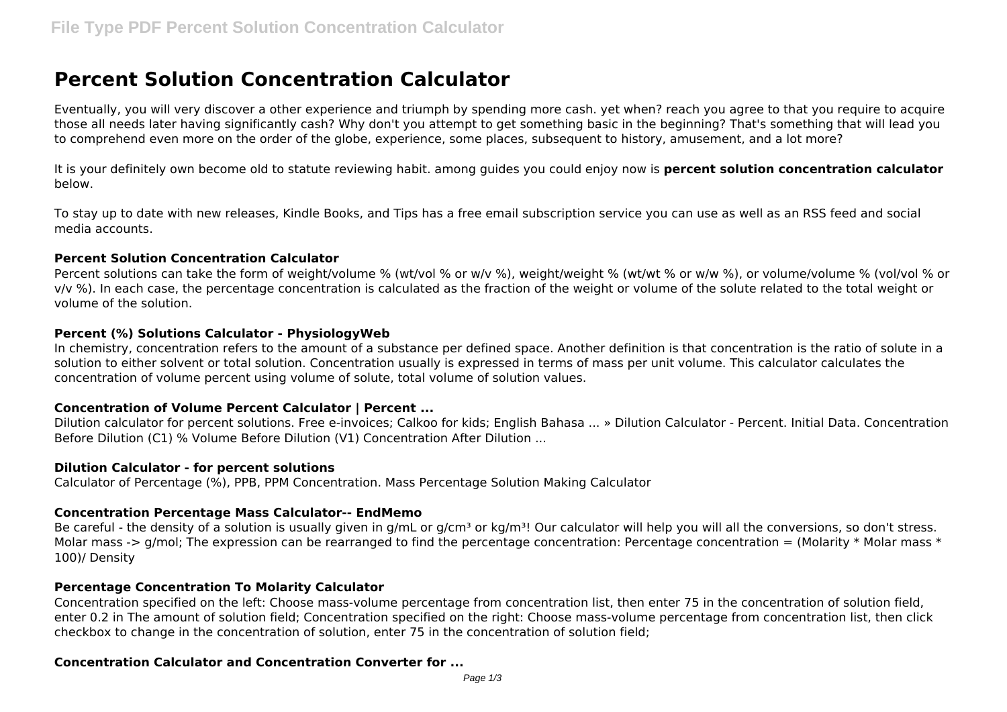# **Percent Solution Concentration Calculator**

Eventually, you will very discover a other experience and triumph by spending more cash. yet when? reach you agree to that you require to acquire those all needs later having significantly cash? Why don't you attempt to get something basic in the beginning? That's something that will lead you to comprehend even more on the order of the globe, experience, some places, subsequent to history, amusement, and a lot more?

It is your definitely own become old to statute reviewing habit. among guides you could enjoy now is **percent solution concentration calculator** below.

To stay up to date with new releases, Kindle Books, and Tips has a free email subscription service you can use as well as an RSS feed and social media accounts.

### **Percent Solution Concentration Calculator**

Percent solutions can take the form of weight/volume % (wt/vol % or w/v %), weight/weight % (wt/wt % or w/w %), or volume/volume % (vol/vol % or v/v %). In each case, the percentage concentration is calculated as the fraction of the weight or volume of the solute related to the total weight or volume of the solution.

### **Percent (%) Solutions Calculator - PhysiologyWeb**

In chemistry, concentration refers to the amount of a substance per defined space. Another definition is that concentration is the ratio of solute in a solution to either solvent or total solution. Concentration usually is expressed in terms of mass per unit volume. This calculator calculates the concentration of volume percent using volume of solute, total volume of solution values.

### **Concentration of Volume Percent Calculator | Percent ...**

Dilution calculator for percent solutions. Free e-invoices; Calkoo for kids; English Bahasa ... » Dilution Calculator - Percent. Initial Data. Concentration Before Dilution (C1) % Volume Before Dilution (V1) Concentration After Dilution ...

### **Dilution Calculator - for percent solutions**

Calculator of Percentage (%), PPB, PPM Concentration. Mass Percentage Solution Making Calculator

### **Concentration Percentage Mass Calculator-- EndMemo**

Be careful - the density of a solution is usually given in g/mL or g/cm<sup>3</sup> or kg/m<sup>3</sup>! Our calculator will help you will all the conversions, so don't stress. Molar mass -> g/mol; The expression can be rearranged to find the percentage concentration: Percentage concentration = (Molarity \* Molar mass \* 100)/ Density

### **Percentage Concentration To Molarity Calculator**

Concentration specified on the left: Choose mass-volume percentage from concentration list, then enter 75 in the concentration of solution field, enter 0.2 in The amount of solution field; Concentration specified on the right: Choose mass-volume percentage from concentration list, then click checkbox to change in the concentration of solution, enter 75 in the concentration of solution field;

### **Concentration Calculator and Concentration Converter for ...**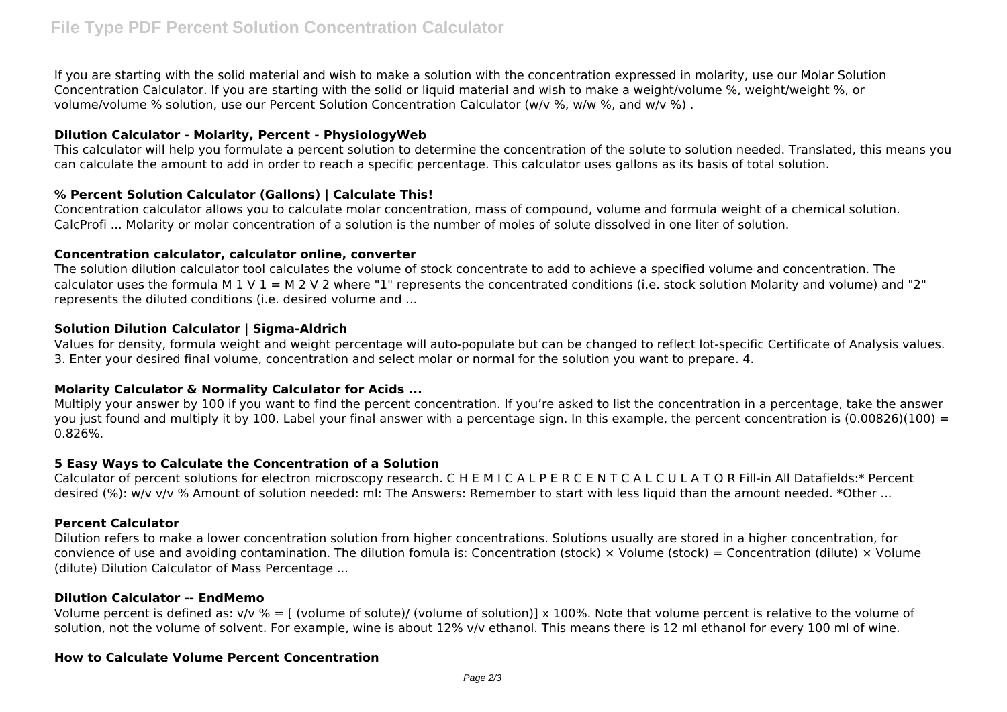If you are starting with the solid material and wish to make a solution with the concentration expressed in molarity, use our Molar Solution Concentration Calculator. If you are starting with the solid or liquid material and wish to make a weight/volume %, weight/weight %, or volume/volume % solution, use our Percent Solution Concentration Calculator (w/v %, w/w %, and w/v %) .

# **Dilution Calculator - Molarity, Percent - PhysiologyWeb**

This calculator will help you formulate a percent solution to determine the concentration of the solute to solution needed. Translated, this means you can calculate the amount to add in order to reach a specific percentage. This calculator uses gallons as its basis of total solution.

# **% Percent Solution Calculator (Gallons) | Calculate This!**

Concentration calculator allows you to calculate molar concentration, mass of compound, volume and formula weight of a chemical solution. CalcProfi ... Molarity or molar concentration of a solution is the number of moles of solute dissolved in one liter of solution.

### **Concentration calculator, calculator online, converter**

The solution dilution calculator tool calculates the volume of stock concentrate to add to achieve a specified volume and concentration. The calculator uses the formula M 1 V  $1 = M 2 V 2$  where "1" represents the concentrated conditions (i.e. stock solution Molarity and volume) and "2" represents the diluted conditions (i.e. desired volume and ...

# **Solution Dilution Calculator | Sigma-Aldrich**

Values for density, formula weight and weight percentage will auto-populate but can be changed to reflect lot-specific Certificate of Analysis values. 3. Enter your desired final volume, concentration and select molar or normal for the solution you want to prepare. 4.

### **Molarity Calculator & Normality Calculator for Acids ...**

Multiply your answer by 100 if you want to find the percent concentration. If you're asked to list the concentration in a percentage, take the answer you just found and multiply it by 100. Label your final answer with a percentage sign. In this example, the percent concentration is  $(0.00826)(100) =$ 0.826%.

### **5 Easy Ways to Calculate the Concentration of a Solution**

Calculator of percent solutions for electron microscopy research. C H E M I C A L P E R C E N T C A L C U L A T O R Fill-in All Datafields:\* Percent desired (%): w/v v/v % Amount of solution needed: ml: The Answers: Remember to start with less liquid than the amount needed. \*Other ...

### **Percent Calculator**

Dilution refers to make a lower concentration solution from higher concentrations. Solutions usually are stored in a higher concentration, for convience of use and avoiding contamination. The dilution fomula is: Concentration (stock)  $\times$  Volume (stock) = Concentration (dilute)  $\times$  Volume (dilute) Dilution Calculator of Mass Percentage ...

### **Dilution Calculator -- EndMemo**

Volume percent is defined as:  $v/v % = [$  (volume of solute)/ (volume of solution)] x 100%. Note that volume percent is relative to the volume of solution, not the volume of solvent. For example, wine is about 12% v/v ethanol. This means there is 12 ml ethanol for every 100 ml of wine.

#### **How to Calculate Volume Percent Concentration**